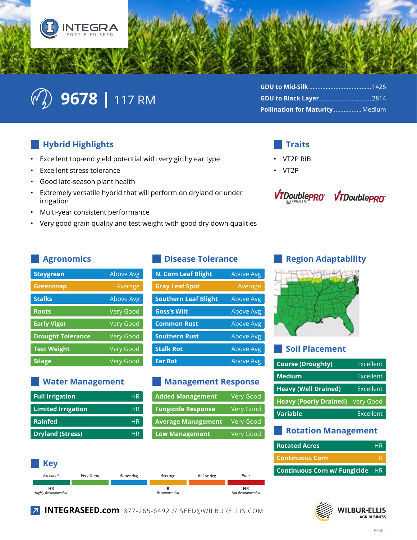

# $\mathbb{C}\left(\sqrt[2]{n}\right)$  9678 | 117 RM

| <u>GDU to Bla</u> ck Layer <del></del> .2814 |  |
|----------------------------------------------|--|
| Pollination for Maturity  Medium             |  |

## **Hybrid Highlights**

- Excellent top-end yield potential with very girthy ear type  $\bullet$
- Excellent stress tolerance  $\bullet$
- Good late-season plant health
- Extremely versatile hybrid that will perform on dryland or under irrigation
- Multi-year consistent performance  $\bullet$
- Very good grain quality and test weight with good dry down qualities

#### **Traits**

- **VT2P RIB**
- $\cdot$  VT2P

VTDoublePRO<sup>®</sup> VTDoublePRO®

### **Agronomics**

| <b>Staygreen</b>         | <b>Above Avg</b> |
|--------------------------|------------------|
| Greensnap                | Average          |
| <b>Stalks</b>            | <b>Above Avg</b> |
| <b>Roots</b>             | <b>Very Good</b> |
| <b>Early Vigor</b>       | Very Good        |
| <b>Drought Tolerance</b> | <b>Very Good</b> |
| <b>Test Weight</b>       | <b>Very Good</b> |
| <b>Silage</b>            | <b>Very Good</b> |

#### **Water Management**

| <b>Full Irrigation</b>    | HR        |
|---------------------------|-----------|
| <b>Limited Irrigation</b> | HR        |
| <b>Rainfed</b>            | <b>HR</b> |
| <b>Dryland (Stress)</b>   | HR        |

#### **Disease Tolerance**

| <b>N. Corn Leaf Blight</b>  | Above Avg        |
|-----------------------------|------------------|
| <b>Gray Leaf Spot</b>       | Average          |
| <b>Southern Leaf Blight</b> | Above Avg        |
| <b>Goss's Wilt</b>          | <b>Above Avg</b> |
| <b>Common Rust</b>          | Above Avg        |
| <b>Southern Rust</b>        | Above Avg        |
| <b>Stalk Rot</b>            | <b>Above Avg</b> |
| <b>Ear Rot</b>              | Above Avg        |

#### **Management Response**

| <b>Added Management</b>   | Very Good |
|---------------------------|-----------|
| <b>Fungicide Response</b> | Very Good |
| <b>Average Management</b> | Very Good |
| <b>Low Management</b>     | Very Good |

#### **Region Adaptability**



#### **Soil Placement**

| <b>Course (Droughty)</b>      | <b>Excellent</b> |
|-------------------------------|------------------|
| <b>Medium</b>                 | Excellent        |
| <b>Heavy (Well Drained)</b>   | Excellent        |
| <b>Heavy (Poorly Drained)</b> | <b>Very Good</b> |
| <b>Variable</b>               | Excellent        |
|                               |                  |

#### **Rotation Management**

| <b>Rotated Acres</b>                   | <b>HR</b> |
|----------------------------------------|-----------|
| <b>Continuous Corn</b>                 |           |
| <b>Continuous Corn w/ Fungicide HR</b> |           |

#### **Key** Excellent Very Good **Below Avg** Above Avg Average Pool **NR HR**  $\mathsf{R}$ Highly Recommended Not Recommended

Recommended

7 INTEGRASEED.com 877-265-6492 // SEED@WILBURELLIS.COM